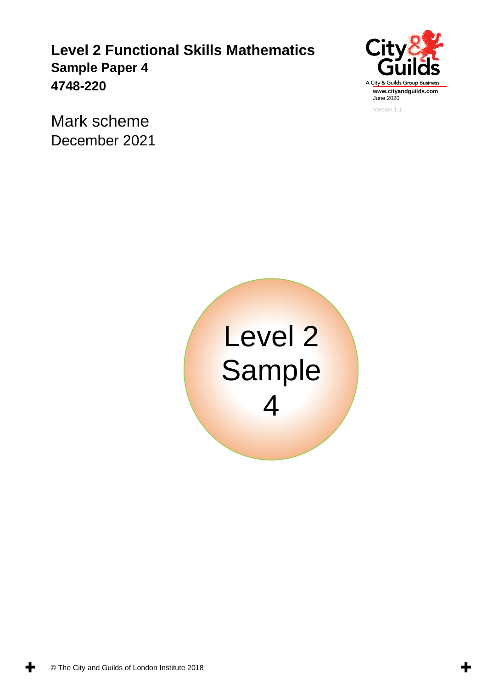**Level 2 Functional Skills Mathematics Sample Paper 4 4748-220** 



Mark scheme December 2021



╈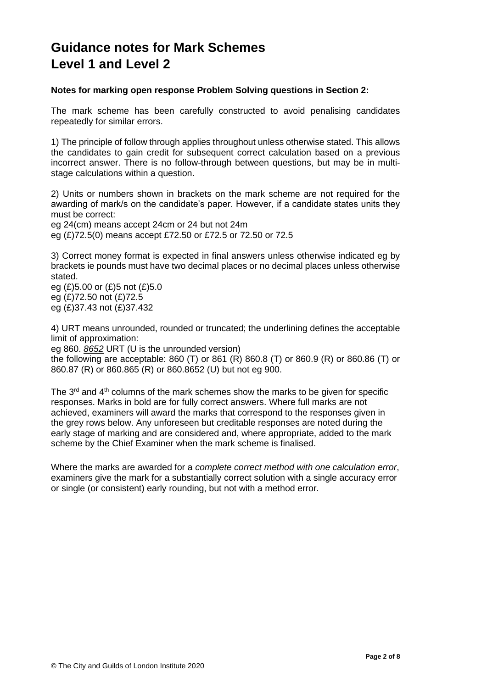## **Guidance notes for Mark Schemes Level 1 and Level 2**

## **Notes for marking open response Problem Solving questions in Section 2:**

The mark scheme has been carefully constructed to avoid penalising candidates repeatedly for similar errors.

1) The principle of follow through applies throughout unless otherwise stated. This allows the candidates to gain credit for subsequent correct calculation based on a previous incorrect answer. There is no follow-through between questions, but may be in multistage calculations within a question.

2) Units or numbers shown in brackets on the mark scheme are not required for the awarding of mark/s on the candidate's paper. However, if a candidate states units they must be correct:

eg 24(cm) means accept 24cm or 24 but not 24m eg (£)72.5(0) means accept £72.50 or £72.5 or 72.50 or 72.5

3) Correct money format is expected in final answers unless otherwise indicated eg by brackets ie pounds must have two decimal places or no decimal places unless otherwise stated.

eg (£)5.00 or (£)5 not (£)5.0 eg (£)72.50 not (£)72.5 eg (£)37.43 not (£)37.432

4) URT means unrounded, rounded or truncated; the underlining defines the acceptable limit of approximation:

eg 860. *8652* URT (U is the unrounded version)

the following are acceptable: 860 (T) or 861 (R) 860.8 (T) or 860.9 (R) or 860.86 (T) or 860.87 (R) or 860.865 (R) or 860.8652 (U) but not eg 900.

The  $3<sup>rd</sup>$  and  $4<sup>th</sup>$  columns of the mark schemes show the marks to be given for specific responses. Marks in bold are for fully correct answers. Where full marks are not achieved, examiners will award the marks that correspond to the responses given in the grey rows below. Any unforeseen but creditable responses are noted during the early stage of marking and are considered and, where appropriate, added to the mark scheme by the Chief Examiner when the mark scheme is finalised.

Where the marks are awarded for a *complete correct method with one calculation error*, examiners give the mark for a substantially correct solution with a single accuracy error or single (or consistent) early rounding, but not with a method error.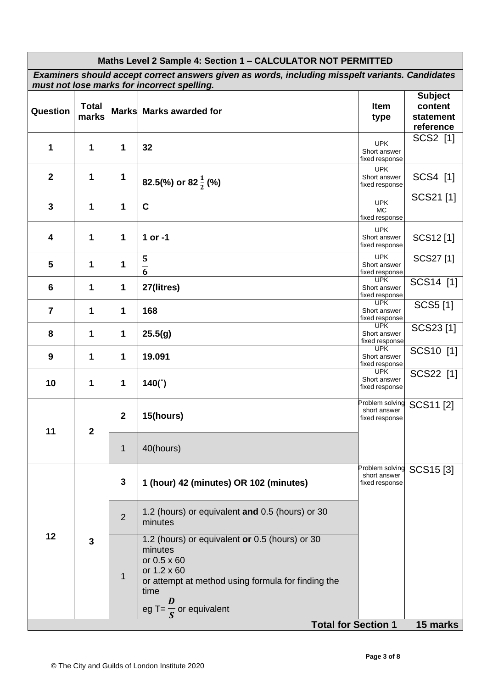| Maths Level 2 Sample 4: Section 1 - CALCULATOR NOT PERMITTED                                                                                   |                       |                  |                                                                                                                                                                                                 |                                                   |                                                     |  |
|------------------------------------------------------------------------------------------------------------------------------------------------|-----------------------|------------------|-------------------------------------------------------------------------------------------------------------------------------------------------------------------------------------------------|---------------------------------------------------|-----------------------------------------------------|--|
| Examiners should accept correct answers given as words, including misspelt variants. Candidates<br>must not lose marks for incorrect spelling. |                       |                  |                                                                                                                                                                                                 |                                                   |                                                     |  |
| <b>Question</b>                                                                                                                                | <b>Total</b><br>marks |                  | Marks Marks awarded for                                                                                                                                                                         | Item<br>type                                      | <b>Subject</b><br>content<br>statement<br>reference |  |
| 1                                                                                                                                              | 1                     | 1                | 32                                                                                                                                                                                              | <b>UPK</b><br>Short answer<br>fixed response      | SCS2 [1]                                            |  |
| $\mathbf 2$                                                                                                                                    | 1                     | 1                | 82.5(%) or 82 $\frac{1}{2}$ (%)                                                                                                                                                                 | <b>UPK</b><br>Short answer<br>fixed response      | SCS4 [1]                                            |  |
| 3                                                                                                                                              | 1                     | 1                | $\mathbf C$                                                                                                                                                                                     | <b>UPK</b><br><b>MC</b><br>fixed response         | SCS21[1]                                            |  |
| 4                                                                                                                                              | 1                     | 1                | 1 or -1                                                                                                                                                                                         | <b>UPK</b><br>Short answer<br>fixed response      | SCS12[1]                                            |  |
| 5                                                                                                                                              | 1                     | 1                | 5<br>$\overline{6}$                                                                                                                                                                             | <b>UPK</b><br>Short answer<br>fixed response      | SCS27[1]                                            |  |
| 6                                                                                                                                              | 1                     | 1                | 27(litres)                                                                                                                                                                                      | <b>UPK</b><br>Short answer<br>fixed response      | SCS14 [1]                                           |  |
| $\overline{7}$                                                                                                                                 | 1                     | 1                | 168                                                                                                                                                                                             | <b>UPK</b><br>Short answer<br>fixed response      | SCS5 [1]                                            |  |
| 8                                                                                                                                              | 1                     | 1                | 25.5(g)                                                                                                                                                                                         | <b>UPK</b><br>Short answer<br>fixed response      | SCS23[1]                                            |  |
| 9                                                                                                                                              | 1                     | 1                | 19.091                                                                                                                                                                                          | <b>UPK</b><br>Short answer<br>fixed response      | SCS10 [1]                                           |  |
| 10                                                                                                                                             | 1                     | 1                | 140(°)                                                                                                                                                                                          | <b>UPK</b><br>Short answer<br>fixed response      | SCS22 [1]                                           |  |
| 11                                                                                                                                             | $\overline{2}$        | $\boldsymbol{2}$ | 15(hours)                                                                                                                                                                                       | Problem solving<br>short answer<br>fixed response | SCS11[2]                                            |  |
|                                                                                                                                                |                       | 1                | 40(hours)                                                                                                                                                                                       |                                                   |                                                     |  |
| 12                                                                                                                                             | $\overline{3}$        | 3                | 1 (hour) 42 (minutes) OR 102 (minutes)                                                                                                                                                          | Problem solving<br>short answer<br>fixed response | SCS15[3]                                            |  |
|                                                                                                                                                |                       | $\overline{2}$   | 1.2 (hours) or equivalent and 0.5 (hours) or 30<br>minutes                                                                                                                                      |                                                   |                                                     |  |
|                                                                                                                                                |                       | $\mathbf{1}$     | 1.2 (hours) or equivalent or 0.5 (hours) or 30<br>minutes<br>or 0.5 x 60<br>or 1.2 x 60<br>or attempt at method using formula for finding the<br>time<br>D<br>eg T= $\frac{1}{6}$ or equivalent |                                                   |                                                     |  |
| <b>Total for Section 1</b><br>15 marks                                                                                                         |                       |                  |                                                                                                                                                                                                 |                                                   |                                                     |  |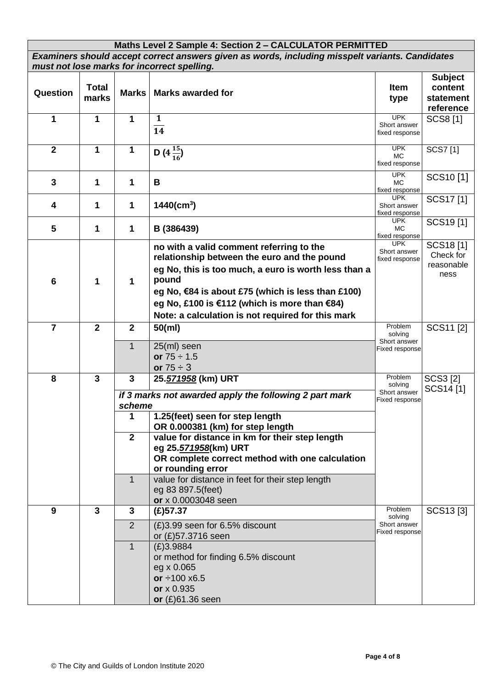| Maths Level 2 Sample 4: Section 2 - CALCULATOR PERMITTED                                        |                |                |                                                                                    |                                |                           |  |
|-------------------------------------------------------------------------------------------------|----------------|----------------|------------------------------------------------------------------------------------|--------------------------------|---------------------------|--|
| Examiners should accept correct answers given as words, including misspelt variants. Candidates |                |                |                                                                                    |                                |                           |  |
| must not lose marks for incorrect spelling.                                                     |                |                |                                                                                    |                                |                           |  |
|                                                                                                 | <b>Total</b>   |                |                                                                                    | <b>Item</b>                    | <b>Subject</b><br>content |  |
| Question                                                                                        | marks          | <b>Marks</b>   | <b>Marks awarded for</b>                                                           | type                           | statement                 |  |
|                                                                                                 |                |                |                                                                                    |                                | reference                 |  |
| 1                                                                                               | 1              | 1              | 1                                                                                  | <b>UPK</b>                     | <b>SCS8[1]</b>            |  |
|                                                                                                 |                |                | $\overline{14}$                                                                    | Short answer<br>fixed response |                           |  |
| $\overline{2}$                                                                                  | 1              | $\mathbf 1$    | D $(4\frac{15}{16})$                                                               | <b>UPK</b><br>MC.              | SCS7[1]                   |  |
|                                                                                                 |                |                |                                                                                    | fixed response                 |                           |  |
|                                                                                                 |                |                |                                                                                    | <b>UPK</b>                     | SCS10[1]                  |  |
| 3                                                                                               | 1              | 1              | В                                                                                  | MC.<br>fixed response          |                           |  |
|                                                                                                 |                |                |                                                                                    | <b>UPK</b>                     | SCS17[1]                  |  |
| 4                                                                                               | 1              | 1              | $1440$ (cm <sup>3</sup> )                                                          | Short answer<br>fixed response |                           |  |
| 5                                                                                               | 1              | 1              | B (386439)                                                                         | <b>UPK</b><br>MC.              | SCS19[1]                  |  |
|                                                                                                 |                |                |                                                                                    | fixed response                 |                           |  |
|                                                                                                 |                |                | no with a valid comment referring to the                                           | <b>UPK</b><br>Short answer     | SCS18[1]                  |  |
|                                                                                                 |                |                | relationship between the euro and the pound                                        | fixed response                 | Check for                 |  |
|                                                                                                 |                |                | eg No, this is too much, a euro is worth less than a                               |                                | reasonable<br>ness        |  |
| $6\phantom{1}6$                                                                                 | 1              | 1              | pound                                                                              |                                |                           |  |
|                                                                                                 |                |                | eg No, €84 is about £75 (which is less than £100)                                  |                                |                           |  |
|                                                                                                 |                |                | eg No, £100 is €112 (which is more than €84)                                       |                                |                           |  |
|                                                                                                 |                |                | Note: a calculation is not required for this mark                                  |                                |                           |  |
| $\overline{7}$                                                                                  | $\overline{2}$ | $\overline{2}$ | $50$ (ml)                                                                          | Problem                        | SCS11 [2]                 |  |
|                                                                                                 |                |                |                                                                                    | solving<br>Short answer        |                           |  |
|                                                                                                 |                | $\mathbf{1}$   | 25(ml) seen                                                                        | Fixed response                 |                           |  |
|                                                                                                 |                |                | or $75 \div 1.5$<br>or $75 \div 3$                                                 |                                |                           |  |
| 8                                                                                               | $\overline{3}$ | 3              | 25.571958 (km) URT                                                                 | Problem                        | SCS3 [2]                  |  |
|                                                                                                 |                |                |                                                                                    | solving                        | SCS14[1]                  |  |
|                                                                                                 |                |                | if 3 marks not awarded apply the following 2 part mark                             | Short answer<br>Fixed response |                           |  |
|                                                                                                 |                | scheme         |                                                                                    |                                |                           |  |
|                                                                                                 |                | 1              | 1.25(feet) seen for step length                                                    |                                |                           |  |
|                                                                                                 |                | $\overline{2}$ | OR 0.000381 (km) for step length<br>value for distance in km for their step length |                                |                           |  |
|                                                                                                 |                |                | eg 25.571958(km) URT                                                               |                                |                           |  |
|                                                                                                 |                |                | OR complete correct method with one calculation                                    |                                |                           |  |
|                                                                                                 |                |                | or rounding error                                                                  |                                |                           |  |
|                                                                                                 |                | $\mathbf{1}$   | value for distance in feet for their step length                                   |                                |                           |  |
|                                                                                                 |                |                | eg 83 897.5(feet)                                                                  |                                |                           |  |
|                                                                                                 |                |                | or x 0.0003048 seen                                                                |                                |                           |  |
| 9                                                                                               | 3              | 3              | $(E)$ 57.37                                                                        | Problem<br>solving             | SCS13[3]                  |  |
|                                                                                                 |                | $\overline{2}$ | (£)3.99 seen for 6.5% discount                                                     | Short answer                   |                           |  |
|                                                                                                 |                |                | or (£)57.3716 seen                                                                 | Fixed response                 |                           |  |
|                                                                                                 |                | $\mathbf{1}$   | (E)3.9884                                                                          |                                |                           |  |
|                                                                                                 |                |                | or method for finding 6.5% discount                                                |                                |                           |  |
|                                                                                                 |                |                | eg x 0.065                                                                         |                                |                           |  |
|                                                                                                 |                |                | or $\div 100 \times 6.5$                                                           |                                |                           |  |
|                                                                                                 |                |                | or x 0.935                                                                         |                                |                           |  |
|                                                                                                 |                |                | or $(E)$ 61.36 seen                                                                |                                |                           |  |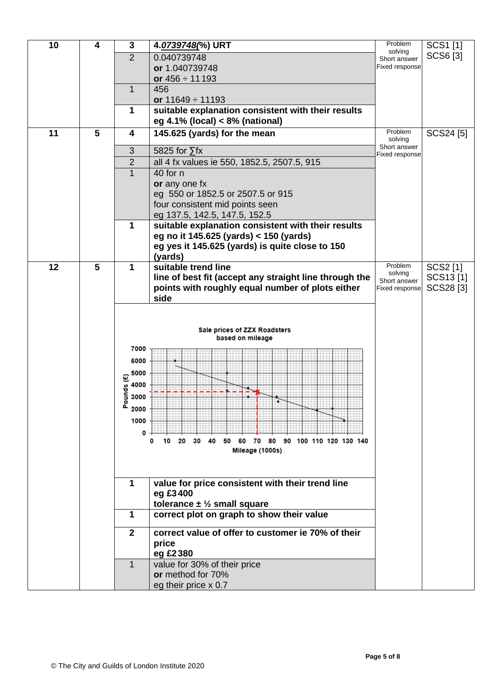| SCS6 [3]<br>SCS24 [5] |
|-----------------------|
|                       |
|                       |
|                       |
|                       |
|                       |
|                       |
|                       |
|                       |
|                       |
|                       |
|                       |
|                       |
|                       |
|                       |
|                       |
|                       |
|                       |
|                       |
| SCS2 [1]              |
| SCS13[1]              |
| SCS28 <sup>[3]</sup>  |
|                       |
|                       |
|                       |
|                       |
|                       |
|                       |
|                       |
|                       |
|                       |
|                       |
|                       |
|                       |
|                       |
|                       |
|                       |
|                       |
|                       |
|                       |
|                       |
|                       |
|                       |
|                       |
|                       |
|                       |
|                       |
|                       |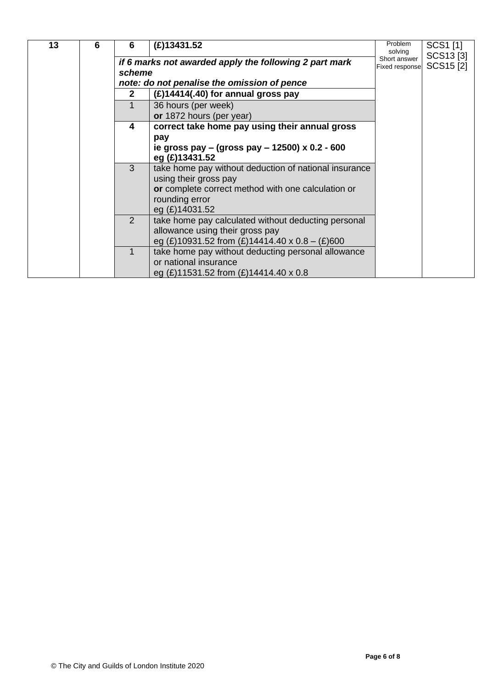| 6 | 6 | $(E)$ 13431.52                                     | Problem<br>solving                                                                                                                                                                                                                                                                                                                                                                                                                                                                                                                                                                                                                   | SCS1 [1]              |
|---|---|----------------------------------------------------|--------------------------------------------------------------------------------------------------------------------------------------------------------------------------------------------------------------------------------------------------------------------------------------------------------------------------------------------------------------------------------------------------------------------------------------------------------------------------------------------------------------------------------------------------------------------------------------------------------------------------------------|-----------------------|
|   |   |                                                    | Short answer<br><b>Fixed response</b>                                                                                                                                                                                                                                                                                                                                                                                                                                                                                                                                                                                                | SCS13[3]<br>SCS15 [2] |
|   |   |                                                    |                                                                                                                                                                                                                                                                                                                                                                                                                                                                                                                                                                                                                                      |                       |
|   |   |                                                    |                                                                                                                                                                                                                                                                                                                                                                                                                                                                                                                                                                                                                                      |                       |
|   |   |                                                    |                                                                                                                                                                                                                                                                                                                                                                                                                                                                                                                                                                                                                                      |                       |
|   |   |                                                    |                                                                                                                                                                                                                                                                                                                                                                                                                                                                                                                                                                                                                                      |                       |
|   |   |                                                    |                                                                                                                                                                                                                                                                                                                                                                                                                                                                                                                                                                                                                                      |                       |
|   | 4 | correct take home pay using their annual gross     |                                                                                                                                                                                                                                                                                                                                                                                                                                                                                                                                                                                                                                      |                       |
|   |   | pay                                                |                                                                                                                                                                                                                                                                                                                                                                                                                                                                                                                                                                                                                                      |                       |
|   |   |                                                    |                                                                                                                                                                                                                                                                                                                                                                                                                                                                                                                                                                                                                                      |                       |
|   |   | eg (£)13431.52                                     |                                                                                                                                                                                                                                                                                                                                                                                                                                                                                                                                                                                                                                      |                       |
|   | 3 |                                                    |                                                                                                                                                                                                                                                                                                                                                                                                                                                                                                                                                                                                                                      |                       |
|   |   | using their gross pay                              |                                                                                                                                                                                                                                                                                                                                                                                                                                                                                                                                                                                                                                      |                       |
|   |   | or complete correct method with one calculation or |                                                                                                                                                                                                                                                                                                                                                                                                                                                                                                                                                                                                                                      |                       |
|   |   |                                                    |                                                                                                                                                                                                                                                                                                                                                                                                                                                                                                                                                                                                                                      |                       |
|   |   |                                                    |                                                                                                                                                                                                                                                                                                                                                                                                                                                                                                                                                                                                                                      |                       |
|   | 2 |                                                    |                                                                                                                                                                                                                                                                                                                                                                                                                                                                                                                                                                                                                                      |                       |
|   |   |                                                    |                                                                                                                                                                                                                                                                                                                                                                                                                                                                                                                                                                                                                                      |                       |
|   |   |                                                    |                                                                                                                                                                                                                                                                                                                                                                                                                                                                                                                                                                                                                                      |                       |
|   |   |                                                    |                                                                                                                                                                                                                                                                                                                                                                                                                                                                                                                                                                                                                                      |                       |
|   |   |                                                    |                                                                                                                                                                                                                                                                                                                                                                                                                                                                                                                                                                                                                                      |                       |
|   |   |                                                    |                                                                                                                                                                                                                                                                                                                                                                                                                                                                                                                                                                                                                                      |                       |
|   |   | $\overline{2}$                                     | if 6 marks not awarded apply the following 2 part mark<br>scheme<br>note: do not penalise the omission of pence<br>$(E)$ 14414(.40) for annual gross pay<br>36 hours (per week)<br>or 1872 hours (per year)<br>ie gross pay – (gross pay – 12500) x 0.2 - 600<br>take home pay without deduction of national insurance<br>rounding error<br>eg (£)14031.52<br>take home pay calculated without deducting personal<br>allowance using their gross pay<br>eg (£)10931.52 from (£)14414.40 x 0.8 - (£)600<br>take home pay without deducting personal allowance<br>or national insurance<br>eg $(E)$ 11531.52 from $(E)$ 14414.40 x 0.8 |                       |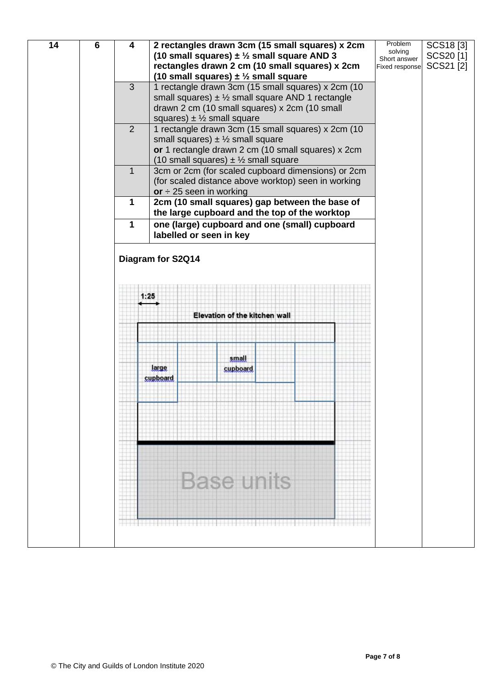